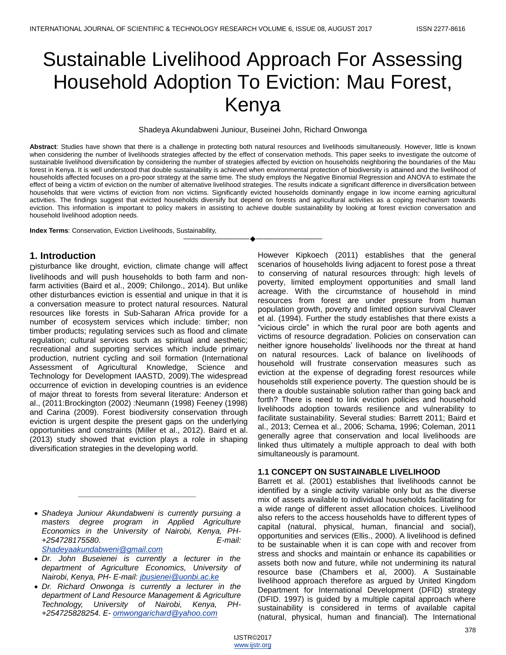# Sustainable Livelihood Approach For Assessing Household Adoption To Eviction: Mau Forest, Kenya

Shadeya Akundabweni Juniour, Buseinei John, Richard Onwonga

**Abstract**: Studies have shown that there is a challenge in protecting both natural resources and livelihoods simultaneously. However, little is known when considering the number of livelihoods strategies affected by the effect of conservation methods. This paper seeks to investigate the outcome of sustainable livelihood diversification by considering the number of strategies affected by eviction on households neighboring the boundaries of the Mau forest in Kenya. It is well understood that double sustainability is achieved when environmental protection of biodiversity is attained and the livelihood of households affected focuses on a pro-poor strategy at the same time. The study employs the Negative Binomial Regression and ANOVA to estimate the effect of being a victim of eviction on the number of alternative livelihood strategies. The results indicate a significant difference in diversification between households that were victims of eviction from non victims. Significantly evicted households dominantly engage in low income earning agricultural activities. The findings suggest that evicted households diversify but depend on forests and agricultural activities as a coping mechanism towards eviction. This information is important to policy makers in assisting to achieve double sustainability by looking at forest eviction conversation and household livelihood adoption needs.

————————————————————

**Index Terms**: Conservation, Eviction Livelihoods, Sustainability,

## **1. Introduction**

Disturbance like drought, eviction, climate change will affect livelihoods and will push households to both farm and nonfarm activities (Baird et al., 2009; Chilongo., 2014). But unlike other disturbances eviction is essential and unique in that it is a conversation measure to protect natural resources. Natural resources like forests in Sub-Saharan Africa provide for a number of ecosystem services which include: timber; non timber products; regulating services such as flood and climate regulation; cultural services such as spiritual and aesthetic; recreational and supporting services which include primary production, nutrient cycling and soil formation (International Assessment of Agricultural Knowledge, Science and Technology for Development IAASTD, 2009).The widespread occurrence of eviction in developing countries is an evidence of major threat to forests from several literature: Anderson et al., (2011:Brockington (2002) :Neumann (1998) Feeney (1998) and Carina (2009). Forest biodiversity conservation through eviction is urgent despite the present gaps on the underlying opportunities and constraints (Miller et al., 2012). Baird et al. (2013) study showed that eviction plays a role in shaping diversification strategies in the developing world.

 *Shadeya Juniour Akundabweni is currently pursuing a masters degree program in Applied Agriculture Economics in the University of Nairobi, Kenya, PH- +254728175580. E-mail: [Shadeyaakundabweni@gmail.com](mailto:Shadeyaakundabweni@gmail.com)*

*\_\_\_\_\_\_\_\_\_\_\_\_\_\_\_\_\_\_\_\_\_\_\_\_\_\_\_*

- *Dr. John Buseienei is currently a lecturer in the department of Agriculture Economics, University of Nairobi, Kenya, PH- E-mail: [jbusienei@uonbi.ac.ke](mailto:jbusienei@uonbi.ac.ke)*
- *Dr. Richard Onwonga is currently a lecturer in the department of Land Resource Management & Agriculture Technology, University of Nairobi, Kenya, PH- +254725828254. E- [omwongarichard@yahoo.com](mailto:omwongarichard@yahoo.com)*

However Kipkoech (2011) establishes that the general scenarios of households living adjacent to forest pose a threat to conserving of natural resources through: high levels of poverty, limited employment opportunities and small land acreage. With the circumstance of household in mind resources from forest are under pressure from human population growth, poverty and limited option survival Cleaver et al. (1994). Further the study establishes that there exists a ―vicious circle‖ in which the rural poor are both agents and victims of resource degradation. Policies on conservation can neither ignore households' livelihoods nor the threat at hand on natural resources. Lack of balance on livelihoods of household will frustrate conservation measures such as eviction at the expense of degrading forest resources while households still experience poverty. The question should be is there a double sustainable solution rather than going back and forth? There is need to link eviction policies and household livelihoods adoption towards resilience and vulnerability to facilitate sustainability. Several studies: Barrett 2011; Baird et al., 2013; Cernea et al., 2006; Schama, 1996; Coleman, 2011 generally agree that conservation and local livelihoods are linked thus ultimately a multiple approach to deal with both simultaneously is paramount.

### **1.1 CONCEPT ON SUSTAINABLE LIVELIHOOD**

Barrett et al. (2001) establishes that livelihoods cannot be identified by a single activity variable only but as the diverse mix of assets available to individual households facilitating for a wide range of different asset allocation choices. Livelihood also refers to the access households have to different types of capital (natural, physical, human, financial and social), opportunities and services (Ellis., 2000). A livelihood is defined to be sustainable when it is can cope with and recover from stress and shocks and maintain or enhance its capabilities or assets both now and future, while not undermining its natural resource base (Chambers et al, 2000). A Sustainable livelihood approach therefore as argued by United Kingdom Department for International Development (DFID) strategy (DFID. 1997) is guided by a multiple capital approach where sustainability is considered in terms of available capital (natural, physical, human and financial). The International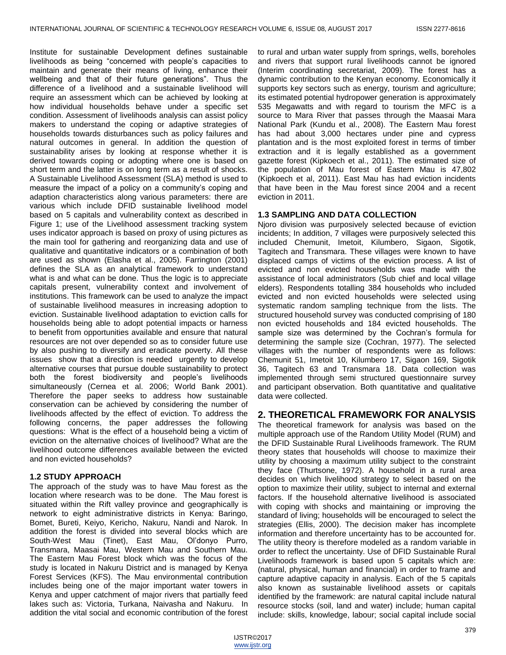Institute for sustainable Development defines sustainable livelihoods as being "concerned with people's capacities to maintain and generate their means of living, enhance their wellbeing and that of their future generations". Thus the difference of a livelihood and a sustainable livelihood will require an assessment which can be achieved by looking at how individual households behave under a specific set condition. Assessment of livelihoods analysis can assist policy makers to understand the coping or adaptive strategies of households towards disturbances such as policy failures and natural outcomes in general. In addition the question of sustainability arises by looking at response whether it is derived towards coping or adopting where one is based on short term and the latter is on long term as a result of shocks. A Sustainable Livelihood Assessment (SLA) method is used to measure the impact of a policy on a community's coping and adaption characteristics along various parameters: there are various which include DFID sustainable livelihood model based on 5 capitals and vulnerability context as described in Figure 1; use of the Livelihood assessment tracking system uses indicator approach is based on proxy of using pictures as the main tool for gathering and reorganizing data and use of qualitative and quantitative indicators or a combination of both are used as shown (Elasha et al., 2005). Farrington (2001) defines the SLA as an analytical framework to understand what is and what can be done. Thus the logic is to appreciate capitals present, vulnerability context and involvement of institutions. This framework can be used to analyze the impact of sustainable livelihood measures in increasing adoption to eviction. Sustainable livelihood adaptation to eviction calls for households being able to adopt potential impacts or harness to benefit from opportunities available and ensure that natural resources are not over depended so as to consider future use by also pushing to diversify and eradicate poverty. All these issues show that a direction is needed urgently to develop alternative courses that pursue double sustainability to protect both the forest biodiversity and people's livelihoods simultaneously (Cernea et al. 2006; World Bank 2001). Therefore the paper seeks to address how sustainable conservation can be achieved by considering the number of livelihoods affected by the effect of eviction. To address the following concerns, the paper addresses the following questions: What is the effect of a household being a victim of eviction on the alternative choices of livelihood? What are the livelihood outcome differences available between the evicted and non evicted households?

# **1.2 STUDY APPROACH**

The approach of the study was to have Mau forest as the location where research was to be done. The Mau forest is situated within the Rift valley province and geographically is network to eight administrative districts in Kenya: Baringo, Bomet, Bureti, Keiyo, Kericho, Nakuru, Nandi and Narok. In addition the forest is divided into several blocks which are South-West Mau (Tinet), East Mau, Ol'donyo Purro, Transmara, Maasai Mau, Western Mau and Southern Mau. The Eastern Mau Forest block which was the focus of the study is located in Nakuru District and is managed by Kenya Forest Services (KFS). The Mau environmental contribution includes being one of the major important water towers in Kenya and upper catchment of major rivers that partially feed lakes such as: Victoria, Turkana, Naivasha and Nakuru. In addition the vital social and economic contribution of the forest

to rural and urban water supply from springs, wells, boreholes and rivers that support rural livelihoods cannot be ignored (Interim coordinating secretariat, 2009). The forest has a dynamic contribution to the Kenyan economy. Economically it supports key sectors such as energy, tourism and agriculture; its estimated potential hydropower generation is approximately 535 Megawatts and with regard to tourism the MFC is a source to Mara River that passes through the Maasai Mara National Park (Kundu et al., 2008). The Eastern Mau forest has had about 3,000 hectares under pine and cypress plantation and is the most exploited forest in terms of timber extraction and it is legally established as a government gazette forest (Kipkoech et al., 2011). The estimated size of the population of Mau forest of Eastern Mau is 47,802 (Kipkoech et al, 2011). East Mau has had eviction incidents that have been in the Mau forest since 2004 and a recent eviction in 2011.

## **1.3 SAMPLING AND DATA COLLECTION**

Njoro division was purposively selected because of eviction incidents; In addition, 7 villages were purposively selected this included Chemunit, Imetoit, Kilumbero, Sigaon, Sigotik, Tagitech and Transmara. These villages were known to have displaced camps of victims of the eviction process. A list of evicted and non evicted households was made with the assistance of local administrators (Sub chief and local village elders). Respondents totalling 384 households who included evicted and non evicted households were selected using systematic random sampling technique from the lists. The structured household survey was conducted comprising of 180 non evicted households and 184 evicted households. The sample size was determined by the Cochran's formula for determining the sample size (Cochran, 1977). The selected villages with the number of respondents were as follows: Chemunit 51, Imetoit 10, Kilumbero 17, Sigaon 169, Sigotik 36, Tagitech 63 and Transmara 18. Data collection was implemented through semi structured questionnaire survey and participant observation. Both quantitative and qualitative data were collected.

# **2. THEORETICAL FRAMEWORK FOR ANALYSIS**

The theoretical framework for analysis was based on the multiple approach use of the Random Utility Model (RUM) and the DFID Sustainable Rural Livelihoods framework. The RUM theory states that households will choose to maximize their utility by choosing a maximum utility subject to the constraint they face (Thurtsone, 1972). A household in a rural area decides on which livelihood strategy to select based on the option to maximize their utility, subject to internal and external factors. If the household alternative livelihood is associated with coping with shocks and maintaining or improving the standard of living; households will be encouraged to select the strategies (Ellis, 2000). The decision maker has incomplete information and therefore uncertainty has to be accounted for. The utility theory is therefore modeled as a random variable in order to reflect the uncertainty. Use of DFID Sustainable Rural Livelihoods framework is based upon 5 capitals which are: (natural, physical, human and financial) in order to frame and capture adaptive capacity in analysis. Each of the 5 capitals also known as sustainable livelihood assets or capitals identified by the framework: are natural capital include natural resource stocks (soil, land and water) include; human capital include: skills, knowledge, labour; social capital include social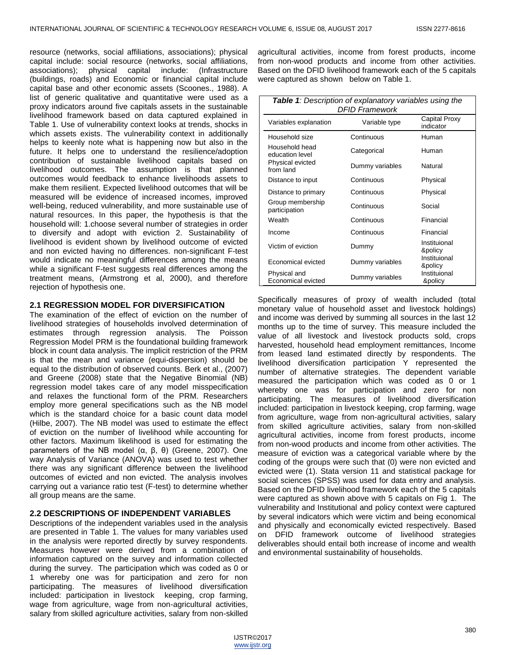resource (networks, social affiliations, associations); physical capital include: social resource (networks, social affiliations, associations); physical capital include: (Infrastructure (buildings, roads) and Economic or financial capital include capital base and other economic assets (Scoones., 1988). A list of generic qualitative and quantitative were used as a proxy indicators around five capitals assets in the sustainable livelihood framework based on data captured explained in Table 1. Use of vulnerability context looks at trends, shocks in which assets exists. The vulnerability context in additionally helps to keenly note what is happening now but also in the future. It helps one to understand the resilience/adoption contribution of sustainable livelihood capitals based on livelihood outcomes. The assumption is that planned outcomes would feedback to enhance livelihoods assets to make them resilient. Expected livelihood outcomes that will be measured will be evidence of increased incomes, improved well-being, reduced vulnerability, and more sustainable use of natural resources. In this paper, the hypothesis is that the household will: 1.choose several number of strategies in order to diversify and adopt with eviction 2. Sustainability of livelihood is evident shown by livelihood outcome of evicted and non evicted having no differences. non-significant F-test would indicate no meaningful differences among the means while a significant F-test suggests real differences among the treatment means, (Armstrong et al, 2000), and therefore rejection of hypothesis one.

## **2.1 REGRESSION MODEL FOR DIVERSIFICATION**

The examination of the effect of eviction on the number of livelihood strategies of households involved determination of estimates through regression analysis. The Poisson Regression Model PRM is the foundational building framework block in count data analysis. The implicit restriction of the PRM is that the mean and variance (equi-dispersion) should be equal to the distribution of observed counts. Berk et al., (2007) and Greene (2008) state that the Negative Binomial (NB) regression model takes care of any model misspecification and relaxes the functional form of the PRM. Researchers employ more general specifications such as the NB model which is the standard choice for a basic count data model (Hilbe, 2007). The NB model was used to estimate the effect of eviction on the number of livelihood while accounting for other factors. Maximum likelihood is used for estimating the parameters of the NB model (α, β, θ) (Greene, 2007). One way Analysis of Variance (ANOVA) was used to test whether there was any significant difference between the livelihood outcomes of evicted and non evicted. The analysis involves carrying out a variance ratio test (F-test) to determine whether all group means are the same.

# **2.2 DESCRIPTIONS OF INDEPENDENT VARIABLES**

Descriptions of the independent variables used in the analysis are presented in Table 1. The values for many variables used in the analysis were reported directly by survey respondents. Measures however were derived from a combination of information captured on the survey and information collected during the survey. The participation which was coded as 0 or 1 whereby one was for participation and zero for non participating. The measures of livelihood diversification included: participation in livestock keeping, crop farming, wage from agriculture, wage from non-agricultural activities, salary from skilled agriculture activities, salary from non-skilled

agricultural activities, income from forest products, income from non-wood products and income from other activities. Based on the DFID livelihood framework each of the 5 capitals were captured as shown below on Table 1.

| Table 1: Description of explanatory variables using the<br>DFID Framework |                 |                            |  |  |
|---------------------------------------------------------------------------|-----------------|----------------------------|--|--|
| Variables explanation                                                     | Variable type   | Capital Proxy<br>indicator |  |  |
| Household size                                                            | Continuous      | Human                      |  |  |
| Household head<br>education level                                         | Categorical     | Human                      |  |  |
| Physical evicted<br>from land                                             | Dummy variables | Natural                    |  |  |
| Distance to input                                                         | Continuous      | Physical                   |  |  |
| Distance to primary                                                       | Continuous      | Physical                   |  |  |
| Group membership<br>participation                                         | Continuous      | Social                     |  |  |
| Wealth                                                                    | Continuous      | Financial                  |  |  |
| Income                                                                    | Continuous      | Financial                  |  |  |
| Victim of eviction                                                        | Dummy           | Instituional<br>&policy    |  |  |
| Economical evicted                                                        | Dummy variables | Instituional<br>&policy    |  |  |
| Physical and<br>Economical evicted                                        | Dummy variables | Instituional<br>&policy    |  |  |

Specifically measures of proxy of wealth included (total monetary value of household asset and livestock holdings) and income was derived by summing all sources in the last 12 months up to the time of survey. This measure included the value of all livestock and livestock products sold, crops harvested, household head employment remittances, Income from leased land estimated directly by respondents. The livelihood diversification participation Y represented the number of alternative strategies. The dependent variable measured the participation which was coded as 0 or 1 whereby one was for participation and zero for non participating. The measures of livelihood diversification included: participation in livestock keeping, crop farming, wage from agriculture, wage from non-agricultural activities, salary from skilled agriculture activities, salary from non-skilled agricultural activities, income from forest products, income from non-wood products and income from other activities. The measure of eviction was a categorical variable where by the coding of the groups were such that (0) were non evicted and evicted were (1). Stata version 11 and statistical package for social sciences (SPSS) was used for data entry and analysis. Based on the DFID livelihood framework each of the 5 capitals were captured as shown above with 5 capitals on Fig 1. The vulnerability and Institutional and policy context were captured by several indicators which were victim and being economical and physically and economically evicted respectively. Based on DFID framework outcome of livelihood strategies deliverables should entail both increase of income and wealth and environmental sustainability of households.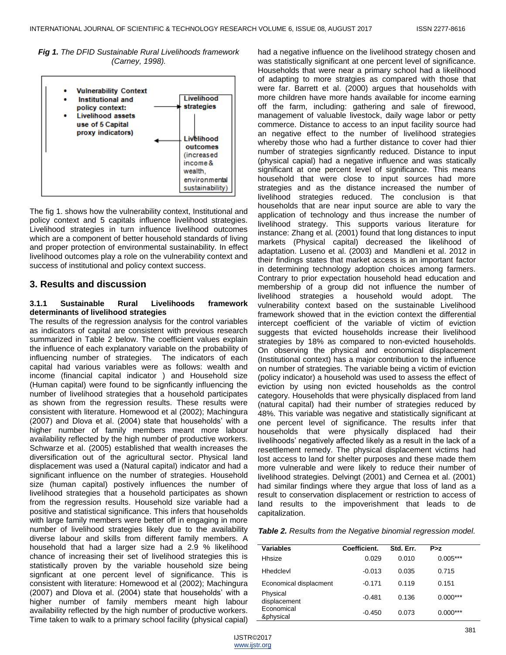*Fig 1. The DFID Sustainable Rural Livelihoods framework (Carney, 1998).*



The fig 1. shows how the vulnerability context, Institutional and policy context and 5 capitals influence livelihood strategies. Livelihood strategies in turn influence livelihood outcomes which are a component of better household standards of living and proper protection of environmental sustainability. In effect livelihood outcomes play a role on the vulnerability context and success of institutional and policy context success.

# **3. Results and discussion**

### **3.1.1 Sustainable Rural Livelihoods framework determinants of livelihood strategies**

The results of the regression analysis for the control variables as indicators of capital are consistent with previous research summarized in Table 2 below. The coefficient values explain the influence of each explanatory variable on the probability of influencing number of strategies. The indicators of each capital had various variables were as follows: wealth and income (financial capital indicator ) and Household size (Human capital) were found to be signficantly influencing the number of livelihood strategies that a household participates as shown from the regression results. These results were consistent with literature. Homewood et al (2002); Machingura (2007) and Dlova et al. (2004) state that households' with a higher number of family members meant more labour availability reflected by the high number of productive workers. Schwarze et al. (2005) established that wealth increases the diversification out of the agricultural sector. Physical land displacement was used a (Natural capital) indicator and had a significant influence on the number of strategies. Household size (human capital) postively influences the number of livelihood strategies that a household participates as shown from the regression results. Household size variable had a positive and statistical significance. This infers that households with large family members were better off in engaging in more number of livelihood strategies likely due to the availability diverse labour and skills from different family members. A household that had a larger size had a 2.9 % likelihood chance of increasing their set of livelihood strategies this is statistically proven by the variable household size being signficant at one percent level of significance. This is consistent with literature: Homewood et al (2002); Machingura (2007) and Dlova et al. (2004) state that households' with a higher number of family members meant high labour availability reflected by the high number of productive workers. Time taken to walk to a primary school facility (physical capial)

had a negative influence on the livelihood strategy chosen and was statistically significant at one percent level of significance. Households that were near a primary school had a likelihood of adapting to more stratgies as compared with those that were far. Barrett et al. (2000) argues that households with more children have more hands available for income earning off the farm, including: gathering and sale of firewood, management of valuable livestock, daily wage labor or petty commerce. Distance to access to an input facility source had an negative effect to the number of livelihood strategies whereby those who had a further distance to cover had thier number of strategies signficantly reduced. Distance to input (physical capial) had a negative influence and was statically significant at one percent level of significance. This means household that were close to input sources had more strategies and as the distance increased the number of livelihood strategies reduced. The conclusion is that households that are near input source are able to vary the application of technology and thus increase the number of livelihood strategy. This supports various literature for instance: Zhang et al. (2001) found that long distances to input markets (Physical capital) decreased the likelihood of adaptation. Luseno et al. (2003) and Mandleni et al. 2012 in their findings states that market access is an important factor in determining technology adoption choices among farmers. Contrary to prior expectation household head education and membership of a group did not influence the number of livelihood strategies a household would adopt. The vulnerability context based on the sustainable Livelihood framework showed that in the eviction context the differential intercept coefficient of the variable of victim of eviction suggests that evicted households increase their livelihood strategies by 18% as compared to non-evicted households. On observing the physical and economical displacement (Institutional context) has a major contribution to the influence on number of strategies. The variable being a victim of eviction (policy indicator) a household was used to assess the effect of eviction by using non evicted households as the control category. Households that were physically displaced from land (natural capital) had their number of strategies reduced by 48%. This variable was negative and statistically significant at one percent level of significance. The results infer that households that were physically displaced had their livelihoods' negatively affected likely as a result in the lack of a resettlement remedy. The physical displacement victims had lost access to land for shelter purposes and these made them more vulnerable and were likely to reduce their number of livelihood strategies. Delvingt (2001) and Cernea et al. (2001) had similar findings where they argue that loss of land as a result to conservation displacement or restriction to access of land results to the impoverishment that leads to de capitalization.

*Table 2. Results from the Negative binomial regression model.*

| <b>Variables</b>         | Coefficient. | Std. Err. | P > z      |  |
|--------------------------|--------------|-----------|------------|--|
| Hhsize                   | 0.029        | 0.010     | $0.005***$ |  |
| Hhedclevl                | $-0.013$     | 0.035     | 0.715      |  |
| Economical displacment   | $-0.171$     | 0.119     | 0.151      |  |
| Physical<br>displacement | $-0.481$     | 0.136     | $0.000***$ |  |
| Economical<br>&physical  | $-0.450$     | 0.073     | $0.000***$ |  |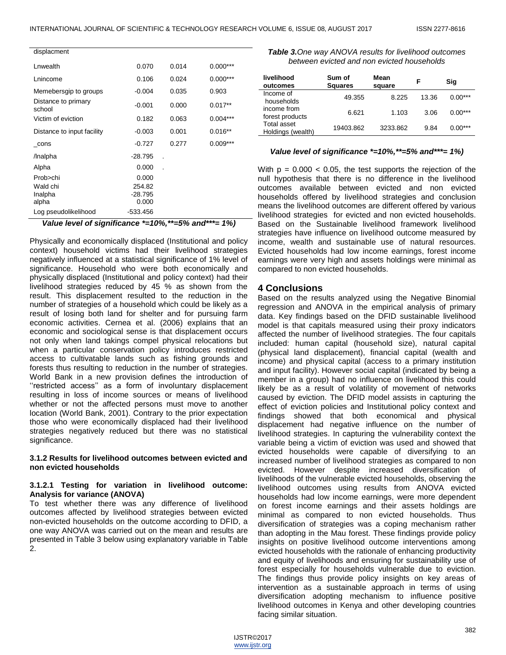| displacment                   |            |       |            |
|-------------------------------|------------|-------|------------|
| Lnwealth                      | 0.070      | 0.014 | $0.000***$ |
| Lnincome                      | 0.106      | 0.024 | $0.000***$ |
| Memebersgip to groups         | $-0.004$   | 0.035 | 0.903      |
| Distance to primary<br>school | $-0.001$   | 0.000 | $0.017**$  |
| Victim of eviction            | 0.182      | 0.063 | $0.004***$ |
| Distance to input facility    | $-0.003$   | 0.001 | $0.016**$  |
| cons                          | $-0.727$   | 0.277 | $0.009***$ |
| /Inalpha                      | $-28.795$  |       |            |
| Alpha                         | 0.000      |       |            |
| Prob>chi                      | 0.000      |       |            |
| Wald chi                      | 254.82     |       |            |
| Inalpha                       | $-28.795$  |       |            |
| alpha                         | 0.000      |       |            |
| Log pseudolikelihood          | $-533.456$ |       |            |

*Value level of significance \*=10%,\*\*=5% and\*\*\*= 1%)*

Physically and economically displaced (Institutional and policy context) household victims had their livelihood strategies negatively influenced at a statistical significance of 1% level of significance. Household who were both economically and physically displaced (Institutional and policy context) had their livelihood strategies reduced by 45 % as shown from the result. This displacement resulted to the reduction in the number of strategies of a household which could be likely as a result of losing both land for shelter and for pursuing farm economic activities. Cernea et al. (2006) explains that an economic and sociological sense is that displacement occurs not only when land takings compel physical relocations but when a particular conservation policy introduces restricted access to cultivatable lands such as fishing grounds and forests thus resulting to reduction in the number of strategies. World Bank in a new provision defines the introduction of "restricted access" as a form of involuntary displacement resulting in loss of income sources or means of livelihood whether or not the affected persons must move to another location (World Bank, 2001). Contrary to the prior expectation those who were economically displaced had their livelihood strategies negatively reduced but there was no statistical significance.

#### **3.1.2 Results for livelihood outcomes between evicted and non evicted households**

#### **3.1.2.1 Testing for variation in livelihood outcome: Analysis for variance (ANOVA)**

To test whether there was any difference of livelihood outcomes affected by livelihood strategies between evicted non-evicted households on the outcome according to DFID, a one way ANOVA was carried out on the mean and results are presented in Table 3 below using explanatory variable in Table 2.

| <b>Table 3.</b> One way ANOVA results for livelihood outcomes |
|---------------------------------------------------------------|
| between evicted and non evicted households                    |

| livelihood<br>outcomes           | Sum of<br><b>Squares</b> | Mean<br>square | F     | Sig       |
|----------------------------------|--------------------------|----------------|-------|-----------|
| Income of<br>households          | 49.355                   | 8.225          | 13.36 | $0.00***$ |
| income from<br>forest products   | 6.621                    | 1.103          | 3.06  | $0.00***$ |
| Total asset<br>Holdings (wealth) | 19403.862                | 3233.862       | 9.84  | $0.00***$ |

#### *Value level of significance \*=10%,\*\*=5% and\*\*\*= 1%)*

With  $p = 0.000 < 0.05$ , the test supports the rejection of the null hypothesis that there is no difference in the livelihood outcomes available between evicted and non evicted households offered by livelihood strategies and conclusion means the livelihood outcomes are different offered by various livelihood strategies for evicted and non evicted households. Based on the Sustainable livelihood framework livelihood strategies have influence on livelihood outcome measured by income, wealth and sustainable use of natural resources. Evicted households had low income earnings, forest income earnings were very high and assets holdings were minimal as compared to non evicted households.

## **4 Conclusions**

Based on the results analyzed using the Negative Binomial regression and ANOVA in the empirical analysis of primary data. Key findings based on the DFID sustainable livelihood model is that capitals measured using their proxy indicators affected the number of livelihood strategies. The four capitals included: human capital (household size), natural capital (physical land displacement), financial capital (wealth and income) and physical capital (access to a primary institution and input facility). However social capital (indicated by being a member in a group) had no influence on livelihood this could likely be as a result of volatility of movement of networks caused by eviction. The DFID model assists in capturing the effect of eviction policies and Institutional policy context and findings showed that both economical and physical displacement had negative influence on the number of livelihood strategies. In capturing the vulnerability context the variable being a victim of eviction was used and showed that evicted households were capable of diversifying to an increased number of livelihood strategies as compared to non evicted. However despite increased diversification of livelihoods of the vulnerable evicted households, observing the livelihood outcomes using results from ANOVA evicted households had low income earnings, were more dependent on forest income earnings and their assets holdings are minimal as compared to non evicted households. Thus diversification of strategies was a coping mechanism rather than adopting in the Mau forest. These findings provide policy insights on positive livelihood outcome interventions among evicted households with the rationale of enhancing productivity and equity of livelihoods and ensuring for sustainability use of forest especially for households vulnerable due to eviction. The findings thus provide policy insights on key areas of intervention as a sustainable approach in terms of using diversification adopting mechanism to influence positive livelihood outcomes in Kenya and other developing countries facing similar situation.